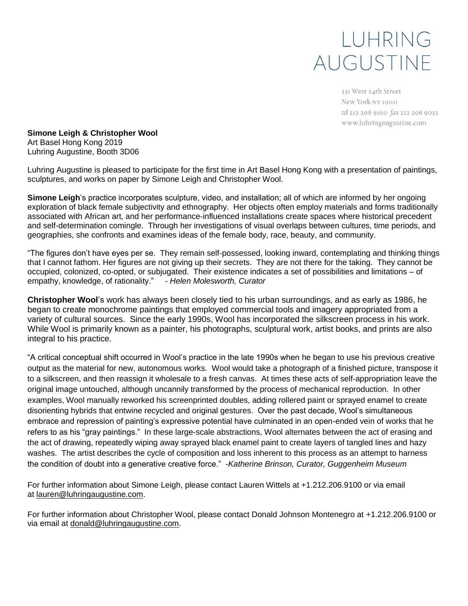## LUHRING AUGUSTINE

531 West 24th Street New York NY 10011 tel 212 206 9100 fax 212 206 9055 www.luhringaugustine.com

**Simone Leigh & Christopher Wool** Art Basel Hong Kong 2019 Luhring Augustine, Booth 3D06

Luhring Augustine is pleased to participate for the first time in Art Basel Hong Kong with a presentation of paintings, sculptures, and works on paper by Simone Leigh and Christopher Wool.

**Simone Leigh**'s practice incorporates sculpture, video, and installation; all of which are informed by her ongoing exploration of black female subjectivity and ethnography. Her objects often employ materials and forms traditionally associated with African art, and her performance-influenced installations create spaces where historical precedent and self-determination comingle. Through her investigations of visual overlaps between cultures, time periods, and geographies, she confronts and examines ideas of the female body, race, beauty, and community.

"The figures don't have eyes per se. They remain self-possessed, looking inward, contemplating and thinking things that I cannot fathom. Her figures are not giving up their secrets. They are not there for the taking. They cannot be occupied, colonized, co-opted, or subjugated. Their existence indicates a set of possibilities and limitations – of empathy, knowledge, of rationality." *- Helen Molesworth, Curator*

**Christopher Wool**'s work has always been closely tied to his urban surroundings, and as early as 1986, he began to create monochrome paintings that employed commercial tools and imagery appropriated from a variety of cultural sources. Since the early 1990s, Wool has incorporated the silkscreen process in his work. While Wool is primarily known as a painter, his photographs, sculptural work, artist books, and prints are also integral to his practice.

"A critical conceptual shift occurred in Wool's practice in the late 1990s when he began to use his previous creative output as the material for new, autonomous works. Wool would take a photograph of a finished picture, transpose it to a silkscreen, and then reassign it wholesale to a fresh canvas. At times these acts of self-appropriation leave the original image untouched, although uncannily transformed by the process of mechanical reproduction. In other examples, Wool manually reworked his screenprinted doubles, adding rollered paint or sprayed enamel to create disorienting hybrids that entwine recycled and original gestures. Over the past decade, Wool's simultaneous embrace and repression of painting's expressive potential have culminated in an open-ended vein of works that he refers to as his "gray paintings." In these large-scale abstractions, Wool alternates between the act of erasing and the act of drawing, repeatedly wiping away sprayed black enamel paint to create layers of tangled lines and hazy washes. The artist describes the cycle of composition and loss inherent to this process as an attempt to harness the condition of doubt into a generative creative force." *-Katherine Brinson, Curator, Guggenheim Museum*

For further information about Simone Leigh, please contact Lauren Wittels at +1.212.206.9100 or via email at [lauren@luhringaugustine.com.](mailto:lauren@luhringaugustine.com)

For further information about Christopher Wool, please contact Donald Johnson Montenegro at +1.212.206.9100 or via email at [donald@luhringaugustine.com.](mailto:donald@luhringaugustine.com)